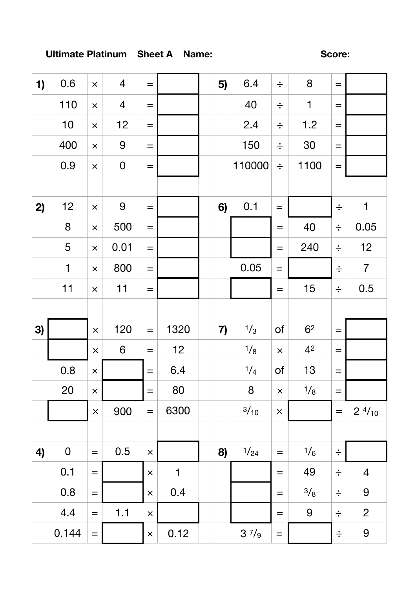## Ultimate Platinum Sheet A Name:

Score:

| 1) | 0.6         | $\times$          | $\overline{4}$ | $\equiv$          |              | 5) | 6.4           | $\div$            | 8              | $=$               |                  |
|----|-------------|-------------------|----------------|-------------------|--------------|----|---------------|-------------------|----------------|-------------------|------------------|
|    | 110         | $\pmb{\times}$    | $\overline{4}$ | $\!\!\!=\!\!\!\!$ |              |    | 40            | $\div$            | $\mathbf 1$    | $=$               |                  |
|    | 10          | $\pmb{\times}$    | 12             | $\equiv$          |              |    | 2.4           | $\div$            | 1.2            | $=$               |                  |
|    | 400         | $\pmb{\times}$    | 9              | $\equiv$          |              |    | 150           | $\div$            | 30             | $=$               |                  |
|    | 0.9         | $\times$          | $\mathbf 0$    | $\!\!\!=\!\!\!\!$ |              |    | 110000        | $\div$            | 1100           | $=$               |                  |
|    |             |                   |                |                   |              |    |               |                   |                |                   |                  |
| 2) | 12          | $\pmb{\times}$    | 9              | $\qquad \qquad =$ |              | 6) | 0.1           | $\qquad \qquad =$ |                | $\div$            | $\mathbf 1$      |
|    | 8           | $\pmb{\times}$    | 500            | $\!\!\!=\!\!\!\!$ |              |    |               | $=$               | 40             | $\div$            | 0.05             |
|    | 5           | $\times$          | 0.01           | $=$               |              |    |               | $=$               | 240            | $\div$            | 12               |
|    | $\mathbf 1$ | $\times$          | 800            | $\equiv$          |              |    | 0.05          | $\equiv$          |                | $\div$            | $\overline{7}$   |
|    | 11          | $\times$          | 11             | $\equiv$          |              |    |               | $=$               | 15             | $\div$            | 0.5              |
|    |             |                   |                |                   |              |    |               |                   |                |                   |                  |
| 3) |             | $\times$          | 120            | $\equiv$          | 1320         | 7) | $\frac{1}{3}$ | 0f                | 6 <sup>2</sup> | $=$               |                  |
|    |             | $\times$          | 6              | $\qquad \qquad =$ | 12           |    | 1/8           | $\times$          | 4 <sup>2</sup> | $\qquad \qquad =$ |                  |
|    | 0.8         | $\times$          |                | $\qquad \qquad =$ | 6.4          |    | 1/4           | of                | 13             | $=$               |                  |
|    | 20          | $\pmb{\times}$    |                | $\!\!\!=\!\!\!\!$ | 80           |    | 8             | $\pmb{\times}$    | 1/8            | $=$               |                  |
|    |             | $\pmb{\times}$    | 900            | $\qquad \qquad =$ | 6300         |    | 3/10          | $\times$          |                | $\equiv$          | $2 \frac{4}{10}$ |
|    |             |                   |                |                   |              |    |               |                   |                |                   |                  |
| 4) | $\mathbf 0$ | $\equiv$          | 0.5            | $\times$          |              | 8) | 1/24          | $=$               | $\frac{1}{6}$  | $\div$            |                  |
|    | 0.1         | $\equiv$          |                | $\times$          | $\mathbf{1}$ |    |               | $=$               | 49             | $\div$            | $\overline{4}$   |
|    | 0.8         | $\!\!\!=\!\!\!\!$ |                | $\times$          | 0.4          |    |               | $=$               | 3/8            | $\div$            | 9                |
|    | 4.4         | $=$               | 1.1            | $\times$          |              |    |               | $=$               | 9              | $\div$            | $\overline{2}$   |
|    | 0.144       |                   |                |                   | 0.12         |    |               |                   |                |                   | 9                |